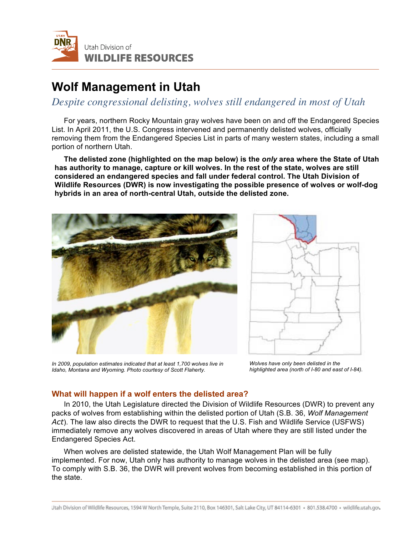

# **Wolf Management in Utah**

*Despite congressional delisting, wolves still endangered in most of Utah*

For years, northern Rocky Mountain gray wolves have been on and off the Endangered Species List. In April 2011, the U.S. Congress intervened and permanently delisted wolves, officially removing them from the Endangered Species List in parts of many western states, including a small portion of northern Utah.

**The delisted zone (highlighted on the map below) is the** *only* **area where the State of Utah has authority to manage, capture or kill wolves. In the rest of the state, wolves are still considered an endangered species and fall under federal control. The Utah Division of Wildlife Resources (DWR) is now investigating the possible presence of wolves or wolf-dog hybrids in an area of north-central Utah, outside the delisted zone.**





*In 2009, population estimates indicated that at least 1,700 wolves live in Idaho, Montana and Wyoming. Photo courtesy of Scott Flaherty.*

*Wolves have only been delisted in the highlighted area (north of I-80 and east of I-84).*

# **What will happen if a wolf enters the delisted area?**

In 2010, the Utah Legislature directed the Division of Wildlife Resources (DWR) to prevent any packs of wolves from establishing within the delisted portion of Utah (S.B. 36, *Wolf Management Act*). The law also directs the DWR to request that the U.S. Fish and Wildlife Service (USFWS) immediately remove any wolves discovered in areas of Utah where they are still listed under the Endangered Species Act.

When wolves are delisted statewide, the Utah Wolf Management Plan will be fully implemented. For now, Utah only has authority to manage wolves in the delisted area (see map). To comply with S.B. 36, the DWR will prevent wolves from becoming established in this portion of the state.